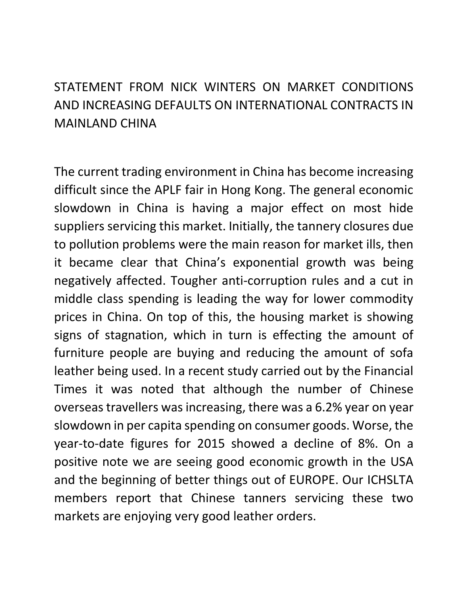STATEMENT FROM NICK WINTERS ON MARKET CONDITIONS AND INCREASING DEFAULTS ON INTERNATIONAL CONTRACTS IN MAINLAND CHINA

The current trading environment in China has become increasing difficult since the APLF fair in Hong Kong. The general economic slowdown in China is having a major effect on most hide suppliers servicing this market. Initially, the tannery closures due to pollution problems were the main reason for market ills, then it became clear that China's exponential growth was being negatively affected. Tougher anti-corruption rules and a cut in middle class spending is leading the way for lower commodity prices in China. On top of this, the housing market is showing signs of stagnation, which in turn is effecting the amount of furniture people are buying and reducing the amount of sofa leather being used. In a recent study carried out by the Financial Times it was noted that although the number of Chinese overseas travellers was increasing, there was a 6.2% year on year slowdown in per capita spending on consumer goods. Worse, the year-to-date figures for 2015 showed a decline of 8%. On a positive note we are seeing good economic growth in the USA and the beginning of better things out of EUROPE. Our ICHSLTA members report that Chinese tanners servicing these two markets are enjoying very good leather orders.